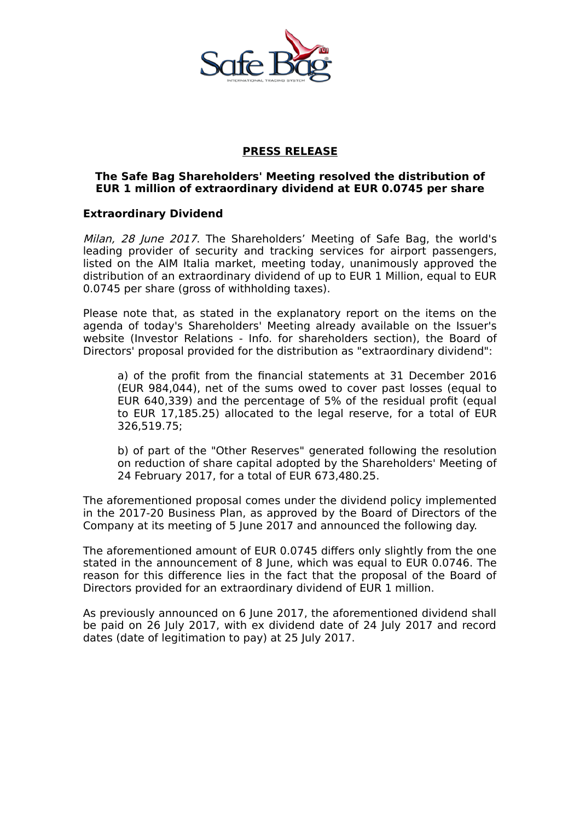

### **PRESS RELEASE**

### **The Safe Bag Shareholders' Meeting resolved the distribution of EUR 1 million of extraordinary dividend at EUR 0.0745 per share**

## **Extraordinary Dividend**

Milan, 28 June 2017. The Shareholders' Meeting of Safe Bag, the world's leading provider of security and tracking services for airport passengers, listed on the AIM Italia market, meeting today, unanimously approved the distribution of an extraordinary dividend of up to EUR 1 Million, equal to EUR 0.0745 per share (gross of withholding taxes).

Please note that, as stated in the explanatory report on the items on the agenda of today's Shareholders' Meeting already available on the Issuer's website (Investor Relations - Info. for shareholders section), the Board of Directors' proposal provided for the distribution as "extraordinary dividend":

a) of the profit from the financial statements at 31 December 2016 (EUR 984,044), net of the sums owed to cover past losses (equal to EUR 640,339) and the percentage of 5% of the residual profit (equal to EUR 17,185.25) allocated to the legal reserve, for a total of EUR 326,519.75;

b) of part of the "Other Reserves" generated following the resolution on reduction of share capital adopted by the Shareholders' Meeting of 24 February 2017, for a total of EUR 673,480.25.

The aforementioned proposal comes under the dividend policy implemented in the 2017-20 Business Plan, as approved by the Board of Directors of the Company at its meeting of 5 June 2017 and announced the following day.

The aforementioned amount of EUR 0.0745 differs only slightly from the one stated in the announcement of 8 June, which was equal to EUR 0.0746. The reason for this difference lies in the fact that the proposal of the Board of Directors provided for an extraordinary dividend of EUR 1 million.

As previously announced on 6 June 2017, the aforementioned dividend shall be paid on 26 July 2017, with ex dividend date of 24 July 2017 and record dates (date of legitimation to pay) at 25 July 2017.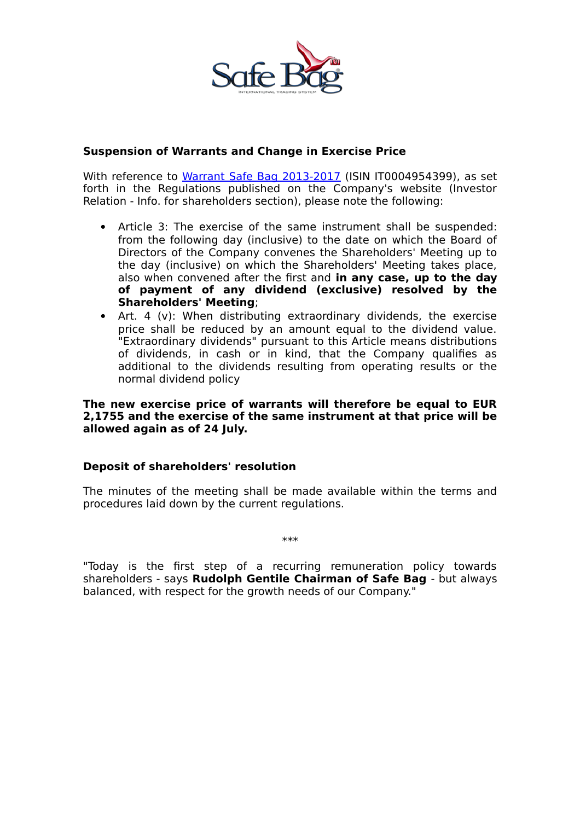

### **Suspension of Warrants and Change in Exercise Price**

With reference to [Warrant Safe Bag 2013-2017](http://www.borsaitaliana.it/borsa/azioni/warrant/scheda/IT0004954399.html?lang=it) (ISIN IT0004954399), as set forth in the Regulations published on the Company's website (Investor Relation - Info. for shareholders section), please note the following:

- Article 3: The exercise of the same instrument shall be suspended: from the following day (inclusive) to the date on which the Board of Directors of the Company convenes the Shareholders' Meeting up to the day (inclusive) on which the Shareholders' Meeting takes place, also when convened after the first and **in any case, up to the day of payment of any dividend (exclusive) resolved by the Shareholders' Meeting**;
- Art. 4 (v): When distributing extraordinary dividends, the exercise price shall be reduced by an amount equal to the dividend value. "Extraordinary dividends" pursuant to this Article means distributions of dividends, in cash or in kind, that the Company qualifies as additional to the dividends resulting from operating results or the normal dividend policy

#### **The new exercise price of warrants will therefore be equal to EUR 2,1755 and the exercise of the same instrument at that price will be allowed again as of 24 July.**

# **Deposit of shareholders' resolution**

The minutes of the meeting shall be made available within the terms and procedures laid down by the current regulations.

"Today is the first step of a recurring remuneration policy towards shareholders - says **Rudolph Gentile Chairman of Safe Bag** - but always balanced, with respect for the growth needs of our Company."

\*\*\*